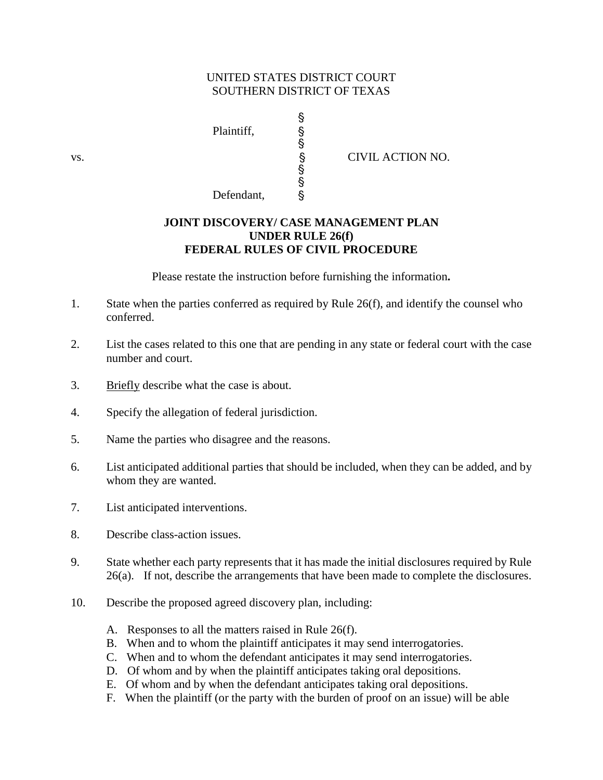## UNITED STATES DISTRICT COURT SOUTHERN DISTRICT OF TEXAS

§

§

§ ş

Plaintiff, Defendant, §

vs. S CIVIL ACTION NO.

## **JOINT DISCOVERY/ CASE MANAGEMENT PLAN UNDER RULE 26(f)**

## **FEDERAL RULES OF CIVIL PROCEDURE**

Please restate the instruction before furnishing the information**.**

- 1. State when the parties conferred as required by Rule 26(f), and identify the counsel who conferred.
- 2. List the cases related to this one that are pending in any state or federal court with the case number and court.
- 3. Briefly describe what the case is about.
- 4. Specify the allegation of federal jurisdiction.
- 5. Name the parties who disagree and the reasons.
- 6. List anticipated additional parties that should be included, when they can be added, and by whom they are wanted.
- 7. List anticipated interventions.
- 8. Describe class-action issues.
- 9. State whether each party represents that it has made the initial disclosures required by Rule 26(a). If not, describe the arrangements that have been made to complete the disclosures.
- 10. Describe the proposed agreed discovery plan, including:
	- A. Responses to all the matters raised in Rule 26(f).
	- B. When and to whom the plaintiff anticipates it may send interrogatories.
	- C. When and to whom the defendant anticipates it may send interrogatories.
	- D. Of whom and by when the plaintiff anticipates taking oral depositions.
	- E. Of whom and by when the defendant anticipates taking oral depositions.
	- F. When the plaintiff (or the party with the burden of proof on an issue) will be able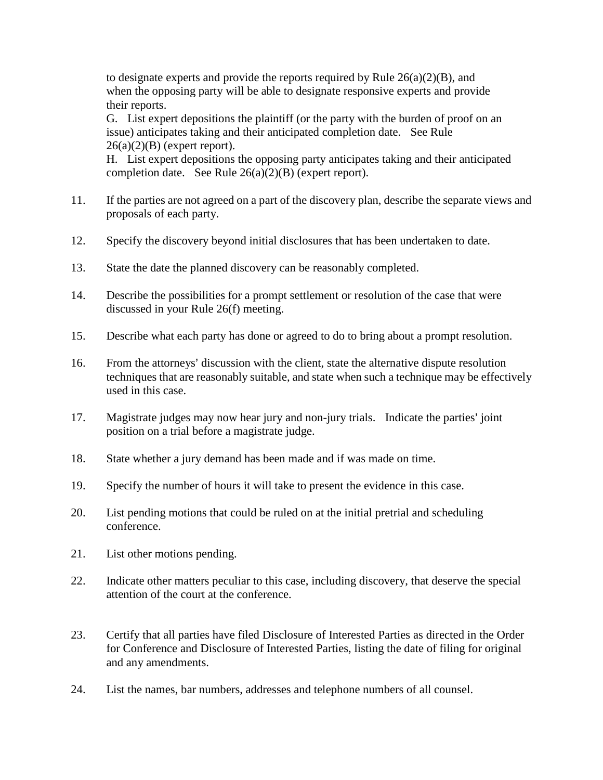to designate experts and provide the reports required by Rule  $26(a)(2)(B)$ , and when the opposing party will be able to designate responsive experts and provide their reports.

G. List expert depositions the plaintiff (or the party with the burden of proof on an issue) anticipates taking and their anticipated completion date. See Rule  $26(a)(2)(B)$  (expert report).

H. List expert depositions the opposing party anticipates taking and their anticipated completion date. See Rule 26(a)(2)(B) (expert report).

- 11. If the parties are not agreed on a part of the discovery plan, describe the separate views and proposals of each party.
- 12. Specify the discovery beyond initial disclosures that has been undertaken to date.
- 13. State the date the planned discovery can be reasonably completed.
- 14. Describe the possibilities for a prompt settlement or resolution of the case that were discussed in your Rule 26(f) meeting.
- 15. Describe what each party has done or agreed to do to bring about a prompt resolution.
- 16. From the attorneys' discussion with the client, state the alternative dispute resolution techniques that are reasonably suitable, and state when such a technique may be effectively used in this case.
- 17. Magistrate judges may now hear jury and non-jury trials. Indicate the parties' joint position on a trial before a magistrate judge.
- 18. State whether a jury demand has been made and if was made on time.
- 19. Specify the number of hours it will take to present the evidence in this case.
- 20. List pending motions that could be ruled on at the initial pretrial and scheduling conference.
- 21. List other motions pending.
- 22. Indicate other matters peculiar to this case, including discovery, that deserve the special attention of the court at the conference.
- 23. Certify that all parties have filed Disclosure of Interested Parties as directed in the Order for Conference and Disclosure of Interested Parties, listing the date of filing for original and any amendments.
- 24. List the names, bar numbers, addresses and telephone numbers of all counsel.